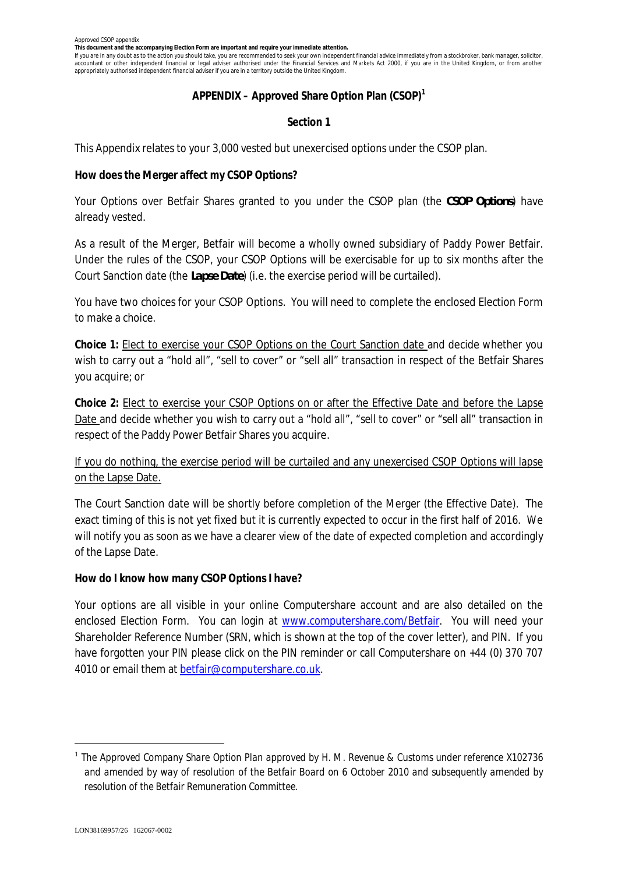**This document and the accompanying Election Form are important and require your immediate attention.**

If you are in any doubt as to the action you should take, you are recommended to seek your own independent financial advice immediately from a stockbroker, bank manager, solicitor, accountant or other independent financial or legal adviser authorised under the Financial Services and Markets Act 2000, if you are in the United Kingdom, or from another appropriately authorised independent financial adviser if you are in a territory outside the United Kingdom.

### **APPENDIX – Approved Share Option Plan (CSOP)<sup>1</sup>**

### **Section 1**

This Appendix relates to your 3,000 vested but unexercised options under the CSOP plan.

**How does the Merger affect my CSOP Options?**

Your Options over Betfair Shares granted to you under the CSOP plan (the *CSOP Options*) have already vested.

As a result of the Merger, Betfair will become a wholly owned subsidiary of Paddy Power Betfair. Under the rules of the CSOP, your CSOP Options will be exercisable for up to six months after the Court Sanction date (the *Lapse Date*) (i.e. the exercise period will be curtailed).

You have two choices for your CSOP Options. You will need to complete the enclosed Election Form to make a choice.

**Choice 1:** Elect to exercise your CSOP Options on the Court Sanction date and decide whether you wish to carry out a "hold all", "sell to cover" or "sell all" transaction in respect of the Betfair Shares you acquire; or

**Choice 2:** Elect to exercise your CSOP Options on or after the Effective Date and before the Lapse Date and decide whether you wish to carry out a "hold all", "sell to cover" or "sell all" transaction in respect of the Paddy Power Betfair Shares you acquire.

# If you do nothing, the exercise period will be curtailed and any unexercised CSOP Options will lapse on the Lapse Date.

The Court Sanction date will be shortly before completion of the Merger (the Effective Date). The exact timing of this is not yet fixed but it is currently expected to occur in the first half of 2016. We will notify you as soon as we have a clearer view of the date of expected completion and accordingly of the Lapse Date.

**How do I know how many CSOP Options I have?**

Your options are all visible in your online Computershare account and are also detailed on the enclosed Election Form. You can login at www.computershare.com/Betfair. You will need your Shareholder Reference Number (SRN, which is shown at the top of the cover letter), and PIN. If you have forgotten your PIN please click on the PIN reminder or call Computershare on +44 (0) 370 707 4010 or email them at betfair@computershare.co.uk.

<sup>1</sup> *The Approved Company Share Option Plan approved by H. M. Revenue & Customs under reference X102736 and amended by way of resolution of the Betfair Board on 6 October 2010 and subsequently amended by resolution of the Betfair Remuneration Committee.*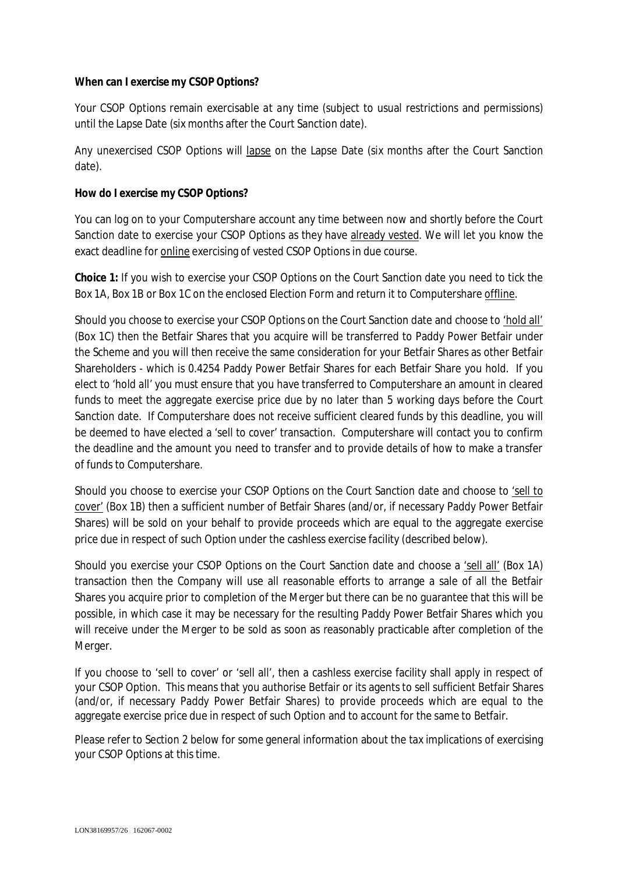# **When can I exercise my CSOP Options?**

Your CSOP Options remain exercisable *at any time* (subject to usual restrictions and permissions) until the Lapse Date (six months after the Court Sanction date).

Any unexercised CSOP Options will lapse on the Lapse Date (six months after the Court Sanction date).

### **How do I exercise my CSOP Options?**

You can log on to your Computershare account any time between now and shortly before the Court Sanction date to exercise your CSOP Options as they have already vested. We will let you know the exact deadline for online exercising of vested CSOP Options in due course.

**Choice 1:** If you wish to exercise your CSOP Options on the Court Sanction date you need to tick the Box 1A, Box 1B or Box 1C on the enclosed Election Form and return it to Computershare offline.

Should you choose to exercise your CSOP Options on the Court Sanction date and choose to 'hold all' (Box 1C) then the Betfair Shares that you acquire will be transferred to Paddy Power Betfair under the Scheme and you will then receive the same consideration for your Betfair Shares as other Betfair Shareholders - which is 0.4254 Paddy Power Betfair Shares for each Betfair Share you hold. If you elect to 'hold all' you must ensure that you have transferred to Computershare an amount in cleared funds to meet the aggregate exercise price due by no later than 5 working days before the Court Sanction date. If Computershare does not receive sufficient cleared funds by this deadline, you will be deemed to have elected a 'sell to cover' transaction. Computershare will contact you to confirm the deadline and the amount you need to transfer and to provide details of how to make a transfer of funds to Computershare.

Should you choose to exercise your CSOP Options on the Court Sanction date and choose to 'sell to cover' (Box 1B) then a sufficient number of Betfair Shares (and/or, if necessary Paddy Power Betfair Shares) will be sold on your behalf to provide proceeds which are equal to the aggregate exercise price due in respect of such Option under the cashless exercise facility (described below).

Should you exercise your CSOP Options on the Court Sanction date and choose a 'sell all' (Box 1A) transaction then the Company will use all reasonable efforts to arrange a sale of all the Betfair Shares you acquire prior to completion of the Merger but there can be no guarantee that this will be possible, in which case it may be necessary for the resulting Paddy Power Betfair Shares which you will receive under the Merger to be sold as soon as reasonably practicable after completion of the Merger.

If you choose to 'sell to cover' or 'sell all', then a cashless exercise facility shall apply in respect of your CSOP Option. This means that you authorise Betfair or its agents to sell sufficient Betfair Shares (and/or, if necessary Paddy Power Betfair Shares) to provide proceeds which are equal to the aggregate exercise price due in respect of such Option and to account for the same to Betfair.

Please refer to Section 2 below for some general information about the tax implications of exercising your CSOP Options at this time.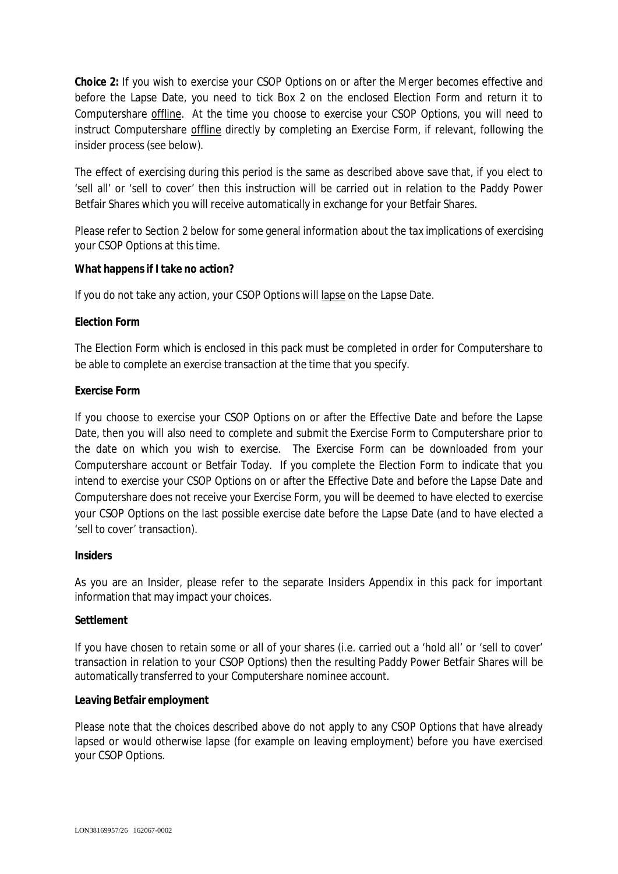**Choice 2:** If you wish to exercise your CSOP Options on or after the Merger becomes effective and before the Lapse Date, you need to tick Box 2 on the enclosed Election Form and return it to Computershare offline. At the time you choose to exercise your CSOP Options, you will need to instruct Computershare offline directly by completing an Exercise Form, if relevant, following the insider process (see below).

The effect of exercising during this period is the same as described above save that, if you elect to 'sell all' or 'sell to cover' then this instruction will be carried out in relation to the Paddy Power Betfair Shares which you will receive automatically in exchange for your Betfair Shares.

Please refer to Section 2 below for some general information about the tax implications of exercising your CSOP Options at this time.

**What happens if I take no action?**

If you do not take any action, your CSOP Options will lapse on the Lapse Date.

# **Election Form**

The Election Form which is enclosed in this pack must be completed in order for Computershare to be able to complete an exercise transaction at the time that you specify.

# **Exercise Form**

If you choose to exercise your CSOP Options on or after the Effective Date and before the Lapse Date, then you will also need to complete and submit the Exercise Form to Computershare prior to the date on which you wish to exercise. The Exercise Form can be downloaded from your Computershare account or Betfair Today. If you complete the Election Form to indicate that you intend to exercise your CSOP Options on or after the Effective Date and before the Lapse Date and Computershare does not receive your Exercise Form, you will be deemed to have elected to exercise your CSOP Options on the last possible exercise date before the Lapse Date (and to have elected a 'sell to cover' transaction).

# **Insiders**

As you are an Insider, please refer to the separate Insiders Appendix in this pack for important information that may impact your choices.

# **Settlement**

If you have chosen to retain some or all of your shares (i.e. carried out a 'hold all' or 'sell to cover' transaction in relation to your CSOP Options) then the resulting Paddy Power Betfair Shares will be automatically transferred to your Computershare nominee account.

# **Leaving Betfair employment**

Please note that the choices described above do not apply to any CSOP Options that have already lapsed or would otherwise lapse (for example on leaving employment) before you have exercised your CSOP Options.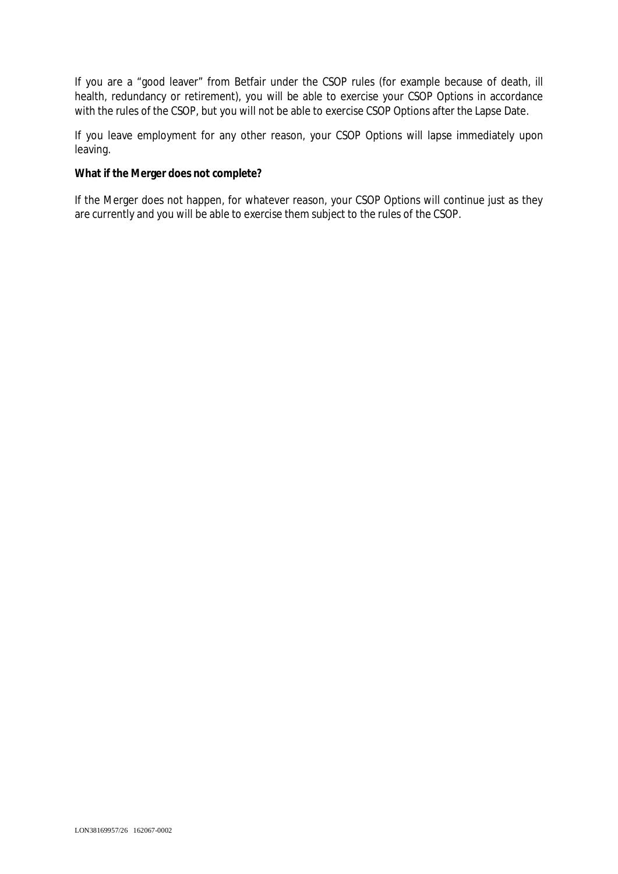If you are a "good leaver" from Betfair under the CSOP rules (for example because of death, ill health, redundancy or retirement), you will be able to exercise your CSOP Options in accordance with the rules of the CSOP, but you will not be able to exercise CSOP Options after the Lapse Date.

If you leave employment for any other reason, your CSOP Options will lapse immediately upon leaving.

**What if the Merger does not complete?**

If the Merger does not happen, for whatever reason, your CSOP Options will continue just as they are currently and you will be able to exercise them subject to the rules of the CSOP.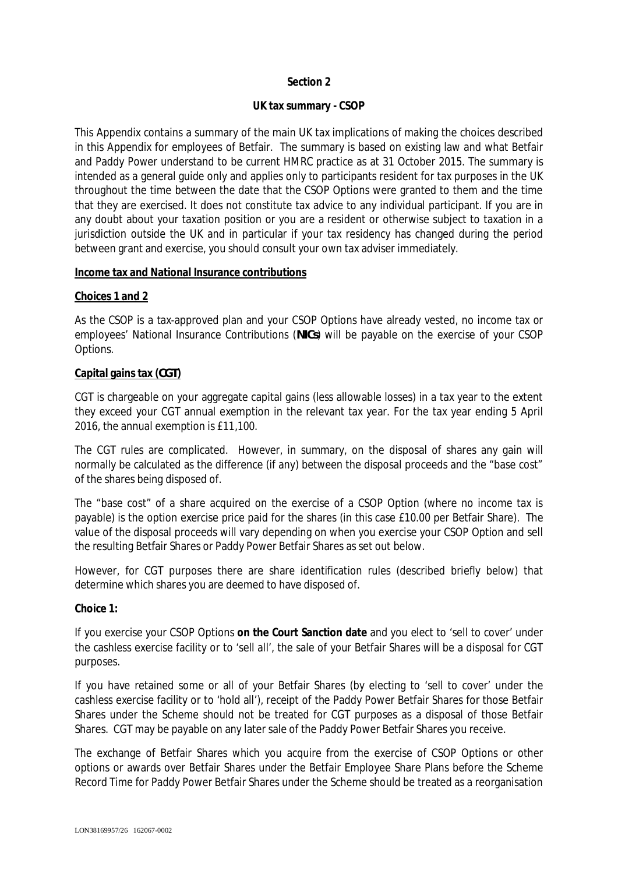# **Section 2**

#### **UK tax summary - CSOP**

This Appendix contains a summary of the main UK tax implications of making the choices described in this Appendix for employees of Betfair. The summary is based on existing law and what Betfair and Paddy Power understand to be current HMRC practice as at 31 October 2015. The summary is intended as a general guide only and applies only to participants resident for tax purposes in the UK throughout the time between the date that the CSOP Options were granted to them and the time that they are exercised. It does not constitute tax advice to any individual participant. If you are in any doubt about your taxation position or you are a resident or otherwise subject to taxation in a jurisdiction outside the UK and in particular if your tax residency has changed during the period between grant and exercise, you should consult your own tax adviser immediately.

#### **Income tax and National Insurance contributions**

#### **Choices 1 and 2**

As the CSOP is a tax-approved plan and your CSOP Options have already vested, no income tax or employees' National Insurance Contributions (*NICs*) will be payable on the exercise of your CSOP Options.

#### **Capital gains tax (***CGT***)**

CGT is chargeable on your aggregate capital gains (less allowable losses) in a tax year to the extent they exceed your CGT annual exemption in the relevant tax year. For the tax year ending 5 April 2016, the annual exemption is £11,100.

The CGT rules are complicated. However, in summary, on the disposal of shares any gain will normally be calculated as the difference (if any) between the disposal proceeds and the "base cost" of the shares being disposed of.

The "base cost" of a share acquired on the exercise of a CSOP Option (where no income tax is payable) is the option exercise price paid for the shares (in this case £10.00 per Betfair Share). The value of the disposal proceeds will vary depending on when you exercise your CSOP Option and sell the resulting Betfair Shares or Paddy Power Betfair Shares as set out below.

However, for CGT purposes there are share identification rules (described briefly below) that determine which shares you are deemed to have disposed of.

#### **Choice 1:**

If you exercise your CSOP Options **on the Court Sanction date** and you elect to 'sell to cover' under the cashless exercise facility or to 'sell all', the sale of your Betfair Shares will be a disposal for CGT purposes.

If you have retained some or all of your Betfair Shares (by electing to 'sell to cover' under the cashless exercise facility or to 'hold all'), receipt of the Paddy Power Betfair Shares for those Betfair Shares under the Scheme should not be treated for CGT purposes as a disposal of those Betfair Shares. CGT may be payable on any later sale of the Paddy Power Betfair Shares you receive.

The exchange of Betfair Shares which you acquire from the exercise of CSOP Options or other options or awards over Betfair Shares under the Betfair Employee Share Plans before the Scheme Record Time for Paddy Power Betfair Shares under the Scheme should be treated as a reorganisation